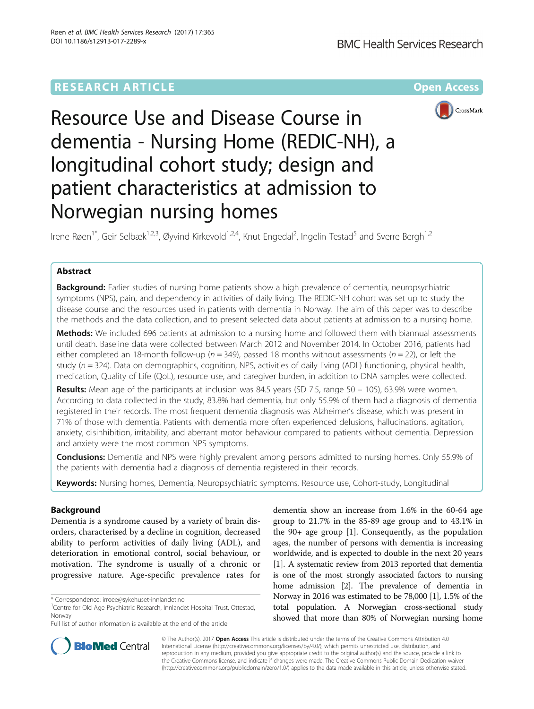# **RESEARCH ARTICLE Example 2014 12:30 The Community Community Community Community Community Community Community**



# Resource Use and Disease Course in dementia - Nursing Home (REDIC-NH), a longitudinal cohort study; design and patient characteristics at admission to Norwegian nursing homes

Irene Røen<sup>1\*</sup>, Geir Selbæk<sup>1,2,3</sup>, Øyvind Kirkevold<sup>1,2,4</sup>, Knut Engedal<sup>2</sup>, Ingelin Testad<sup>5</sup> and Sverre Bergh<sup>1,2</sup>

# Abstract

**Background:** Earlier studies of nursing home patients show a high prevalence of dementia, neuropsychiatric symptoms (NPS), pain, and dependency in activities of daily living. The REDIC-NH cohort was set up to study the disease course and the resources used in patients with dementia in Norway. The aim of this paper was to describe the methods and the data collection, and to present selected data about patients at admission to a nursing home.

Methods: We included 696 patients at admission to a nursing home and followed them with biannual assessments until death. Baseline data were collected between March 2012 and November 2014. In October 2016, patients had either completed an 18-month follow-up ( $n = 349$ ), passed 18 months without assessments ( $n = 22$ ), or left the study ( $n = 324$ ). Data on demographics, cognition, NPS, activities of daily living (ADL) functioning, physical health, medication, Quality of Life (QoL), resource use, and caregiver burden, in addition to DNA samples were collected.

**Results:** Mean age of the participants at inclusion was 84.5 years (SD 7.5, range 50 – 105), 63.9% were women. According to data collected in the study, 83.8% had dementia, but only 55.9% of them had a diagnosis of dementia registered in their records. The most frequent dementia diagnosis was Alzheimer's disease, which was present in 71% of those with dementia. Patients with dementia more often experienced delusions, hallucinations, agitation, anxiety, disinhibition, irritability, and aberrant motor behaviour compared to patients without dementia. Depression and anxiety were the most common NPS symptoms.

**Conclusions:** Dementia and NPS were highly prevalent among persons admitted to nursing homes. Only 55.9% of the patients with dementia had a diagnosis of dementia registered in their records.

Keywords: Nursing homes, Dementia, Neuropsychiatric symptoms, Resource use, Cohort-study, Longitudinal

# Background

Dementia is a syndrome caused by a variety of brain disorders, characterised by a decline in cognition, decreased ability to perform activities of daily living (ADL), and deterioration in emotional control, social behaviour, or motivation. The syndrome is usually of a chronic or progressive nature. Age-specific prevalence rates for

dementia show an increase from 1.6% in the 60-64 age group to 21.7% in the 85-89 age group and to 43.1% in the 90+ age group [\[1](#page-12-0)]. Consequently, as the population ages, the number of persons with dementia is increasing worldwide, and is expected to double in the next 20 years [[1\]](#page-12-0). A systematic review from 2013 reported that dementia is one of the most strongly associated factors to nursing home admission [[2\]](#page-12-0). The prevalence of dementia in Norway in 2016 was estimated to be 78,000 [\[1](#page-12-0)], 1.5% of the total population. A Norwegian cross-sectional study showed that more than 80% of Norwegian nursing home



© The Author(s). 2017 Open Access This article is distributed under the terms of the Creative Commons Attribution 4.0 International License [\(http://creativecommons.org/licenses/by/4.0/](http://creativecommons.org/licenses/by/4.0/)), which permits unrestricted use, distribution, and reproduction in any medium, provided you give appropriate credit to the original author(s) and the source, provide a link to the Creative Commons license, and indicate if changes were made. The Creative Commons Public Domain Dedication waiver [\(http://creativecommons.org/publicdomain/zero/1.0/](http://creativecommons.org/publicdomain/zero/1.0/)) applies to the data made available in this article, unless otherwise stated.

<sup>\*</sup> Correspondence: [irroee@sykehuset-innlandet.no](mailto:irroee@sykehuset-innlandet.no) <sup>1</sup>

Centre for Old Age Psychiatric Research, Innlandet Hospital Trust, Ottestad, Norway

Full list of author information is available at the end of the article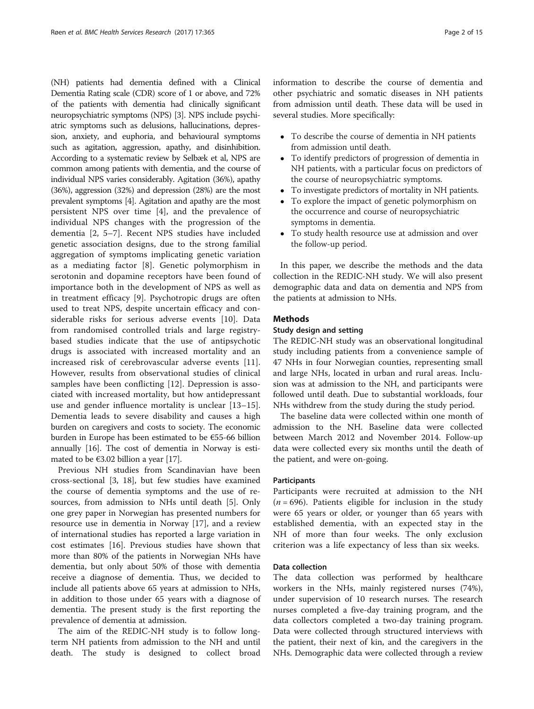(NH) patients had dementia defined with a Clinical Dementia Rating scale (CDR) score of 1 or above, and 72% of the patients with dementia had clinically significant neuropsychiatric symptoms (NPS) [\[3](#page-12-0)]. NPS include psychiatric symptoms such as delusions, hallucinations, depression, anxiety, and euphoria, and behavioural symptoms such as agitation, aggression, apathy, and disinhibition. According to a systematic review by Selbæk et al, NPS are common among patients with dementia, and the course of individual NPS varies considerably. Agitation (36%), apathy (36%), aggression (32%) and depression (28%) are the most prevalent symptoms [\[4\]](#page-12-0). Agitation and apathy are the most persistent NPS over time [\[4](#page-12-0)], and the prevalence of individual NPS changes with the progression of the dementia [\[2](#page-12-0), [5](#page-12-0)–[7](#page-12-0)]. Recent NPS studies have included genetic association designs, due to the strong familial aggregation of symptoms implicating genetic variation as a mediating factor [[8\]](#page-12-0). Genetic polymorphism in serotonin and dopamine receptors have been found of importance both in the development of NPS as well as in treatment efficacy [\[9](#page-12-0)]. Psychotropic drugs are often used to treat NPS, despite uncertain efficacy and considerable risks for serious adverse events [[10\]](#page-12-0). Data from randomised controlled trials and large registrybased studies indicate that the use of antipsychotic drugs is associated with increased mortality and an increased risk of cerebrovascular adverse events [[11](#page-13-0)]. However, results from observational studies of clinical samples have been conflicting [\[12](#page-13-0)]. Depression is associated with increased mortality, but how antidepressant use and gender influence mortality is unclear [[13](#page-13-0)–[15](#page-13-0)]. Dementia leads to severe disability and causes a high burden on caregivers and costs to society. The economic burden in Europe has been estimated to be €55-66 billion annually [\[16\]](#page-13-0). The cost of dementia in Norway is estimated to be  $€3.02$  billion a year [\[17\]](#page-13-0).

Previous NH studies from Scandinavian have been cross-sectional [\[3](#page-12-0), [18\]](#page-13-0), but few studies have examined the course of dementia symptoms and the use of resources, from admission to NHs until death [[5](#page-12-0)]. Only one grey paper in Norwegian has presented numbers for resource use in dementia in Norway [[17](#page-13-0)], and a review of international studies has reported a large variation in cost estimates [[16\]](#page-13-0). Previous studies have shown that more than 80% of the patients in Norwegian NHs have dementia, but only about 50% of those with dementia receive a diagnose of dementia. Thus, we decided to include all patients above 65 years at admission to NHs, in addition to those under 65 years with a diagnose of dementia. The present study is the first reporting the prevalence of dementia at admission.

The aim of the REDIC-NH study is to follow longterm NH patients from admission to the NH and until death. The study is designed to collect broad information to describe the course of dementia and other psychiatric and somatic diseases in NH patients from admission until death. These data will be used in several studies. More specifically:

- To describe the course of dementia in NH patients from admission until death.
- To identify predictors of progression of dementia in NH patients, with a particular focus on predictors of the course of neuropsychiatric symptoms.
- To investigate predictors of mortality in NH patients.
- To explore the impact of genetic polymorphism on the occurrence and course of neuropsychiatric symptoms in dementia.
- To study health resource use at admission and over the follow-up period.

In this paper, we describe the methods and the data collection in the REDIC-NH study. We will also present demographic data and data on dementia and NPS from the patients at admission to NHs.

## Methods

#### Study design and setting

The REDIC-NH study was an observational longitudinal study including patients from a convenience sample of 47 NHs in four Norwegian counties, representing small and large NHs, located in urban and rural areas. Inclusion was at admission to the NH, and participants were followed until death. Due to substantial workloads, four NHs withdrew from the study during the study period.

The baseline data were collected within one month of admission to the NH. Baseline data were collected between March 2012 and November 2014. Follow-up data were collected every six months until the death of the patient, and were on-going.

#### Participants

Participants were recruited at admission to the NH  $(n = 696)$ . Patients eligible for inclusion in the study were 65 years or older, or younger than 65 years with established dementia, with an expected stay in the NH of more than four weeks. The only exclusion criterion was a life expectancy of less than six weeks.

# Data collection

The data collection was performed by healthcare workers in the NHs, mainly registered nurses (74%), under supervision of 10 research nurses. The research nurses completed a five-day training program, and the data collectors completed a two-day training program. Data were collected through structured interviews with the patient, their next of kin, and the caregivers in the NHs. Demographic data were collected through a review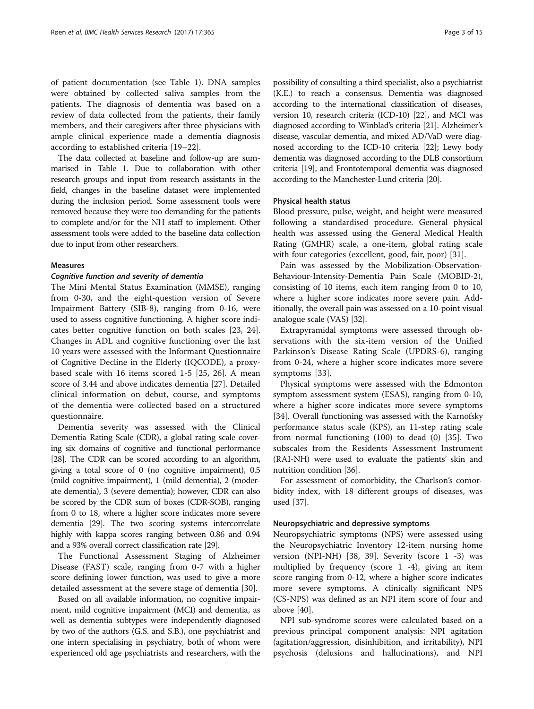of patient documentation (see Table [1](#page-3-0)). DNA samples were obtained by collected saliva samples from the patients. The diagnosis of dementia was based on a review of data collected from the patients, their family members, and their caregivers after three physicians with ample clinical experience made a dementia diagnosis according to established criteria [\[19](#page-13-0)–[22\]](#page-13-0).

The data collected at baseline and follow-up are summarised in Table [1](#page-3-0). Due to collaboration with other research groups and input from research assistants in the field, changes in the baseline dataset were implemented during the inclusion period. Some assessment tools were removed because they were too demanding for the patients to complete and/or for the NH staff to implement. Other assessment tools were added to the baseline data collection due to input from other researchers.

#### Measures

#### Cognitive function and severity of dementia

The Mini Mental Status Examination (MMSE), ranging from 0-30, and the eight-question version of Severe Impairment Battery (SIB-8), ranging from 0-16, were used to assess cognitive functioning. A higher score indicates better cognitive function on both scales [[23, 24](#page-13-0)]. Changes in ADL and cognitive functioning over the last 10 years were assessed with the Informant Questionnaire of Cognitive Decline in the Elderly (IQCODE), a proxybased scale with 16 items scored 1-5 [\[25](#page-13-0), [26\]](#page-13-0). A mean score of 3.44 and above indicates dementia [[27](#page-13-0)]. Detailed clinical information on debut, course, and symptoms of the dementia were collected based on a structured questionnaire.

Dementia severity was assessed with the Clinical Dementia Rating Scale (CDR), a global rating scale covering six domains of cognitive and functional performance [[28](#page-13-0)]. The CDR can be scored according to an algorithm, giving a total score of 0 (no cognitive impairment), 0.5 (mild cognitive impairment), 1 (mild dementia), 2 (moderate dementia), 3 (severe dementia); however, CDR can also be scored by the CDR sum of boxes (CDR-SOB), ranging from 0 to 18, where a higher score indicates more severe dementia [\[29\]](#page-13-0). The two scoring systems intercorrelate highly with kappa scores ranging between 0.86 and 0.94 and a 93% overall correct classification rate [[29](#page-13-0)].

The Functional Assessment Staging of Alzheimer Disease (FAST) scale, ranging from 0-7 with a higher score defining lower function, was used to give a more detailed assessment at the severe stage of dementia [\[30](#page-13-0)].

Based on all available information, no cognitive impairment, mild cognitive impairment (MCI) and dementia, as well as dementia subtypes were independently diagnosed by two of the authors (G.S. and S.B.), one psychiatrist and one intern specialising in psychiatry, both of whom were experienced old age psychiatrists and researchers, with the

possibility of consulting a third specialist, also a psychiatrist (K.E.) to reach a consensus. Dementia was diagnosed according to the international classification of diseases, version 10, research criteria (ICD-10) [\[22](#page-13-0)], and MCI was diagnosed according to Winblad's criteria [\[21](#page-13-0)]. Alzheimer's disease, vascular dementia, and mixed AD/VaD were diagnosed according to the ICD-10 criteria [\[22](#page-13-0)]; Lewy body dementia was diagnosed according to the DLB consortium criteria [\[19](#page-13-0)]; and Frontotemporal dementia was diagnosed according to the Manchester-Lund criteria [\[20\]](#page-13-0).

#### Physical health status

Blood pressure, pulse, weight, and height were measured following a standardised procedure. General physical health was assessed using the General Medical Health Rating (GMHR) scale, a one-item, global rating scale with four categories (excellent, good, fair, poor) [[31\]](#page-13-0).

Pain was assessed by the Mobilization-Observation-Behaviour-Intensity-Dementia Pain Scale (MOBID-2), consisting of 10 items, each item ranging from 0 to 10, where a higher score indicates more severe pain. Additionally, the overall pain was assessed on a 10-point visual analogue scale (VAS) [[32](#page-13-0)].

Extrapyramidal symptoms were assessed through observations with the six-item version of the Unified Parkinson's Disease Rating Scale (UPDRS-6), ranging from 0-24, where a higher score indicates more severe symptoms [\[33](#page-13-0)].

Physical symptoms were assessed with the Edmonton symptom assessment system (ESAS), ranging from 0-10, where a higher score indicates more severe symptoms [[34\]](#page-13-0). Overall functioning was assessed with the Karnofsky performance status scale (KPS), an 11-step rating scale from normal functioning (100) to dead (0) [[35\]](#page-13-0). Two subscales from the Residents Assessment Instrument (RAI-NH) were used to evaluate the patients' skin and nutrition condition [[36](#page-13-0)].

For assessment of comorbidity, the Charlson's comorbidity index, with 18 different groups of diseases, was used [[37](#page-13-0)].

## Neuropsychiatric and depressive symptoms

Neuropsychiatric symptoms (NPS) were assessed using the Neuropsychiatric Inventory 12-item nursing home version (NPI-NH) [[38, 39](#page-13-0)]. Severity (score 1 -3) was multiplied by frequency (score 1 -4), giving an item score ranging from 0-12, where a higher score indicates more severe symptoms. A clinically significant NPS (CS-NPS) was defined as an NPI item score of four and above [\[40](#page-13-0)].

NPI sub-syndrome scores were calculated based on a previous principal component analysis: NPI agitation (agitation/aggression, disinhibition, and irritability), NPI psychosis (delusions and hallucinations), and NPI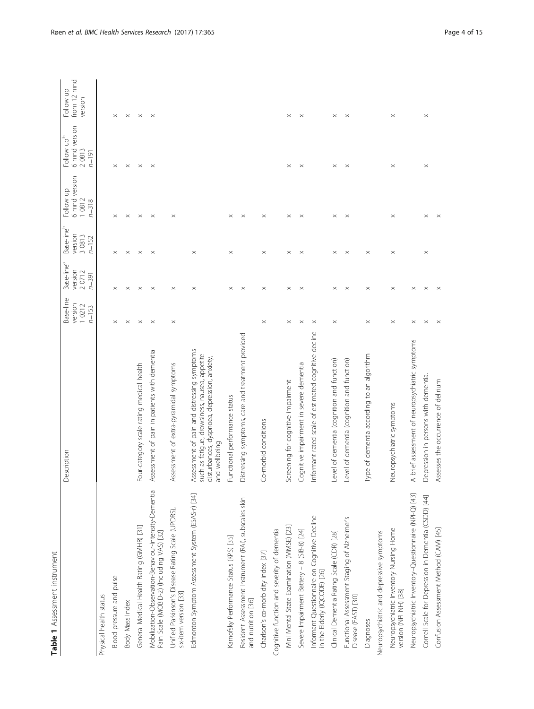| ς<br>Ω<br>i<br>į                  |
|-----------------------------------|
| ٦<br>ì<br>ï<br>ï<br>$\vdots$<br>i |
|                                   |
|                                   |
|                                   |

<span id="page-3-0"></span>

| Table 1 Assessment instrument                                                                      |                                                                                                                                                               |                                            |                                                         |                                                          |                                                  |                                                               |                                     |
|----------------------------------------------------------------------------------------------------|---------------------------------------------------------------------------------------------------------------------------------------------------------------|--------------------------------------------|---------------------------------------------------------|----------------------------------------------------------|--------------------------------------------------|---------------------------------------------------------------|-------------------------------------|
|                                                                                                    | escription                                                                                                                                                    | Base-line<br>version<br>10212<br>$n = 153$ | Base-line <sup>a</sup><br>version<br>20712<br>$n = 391$ | Base-line <sup>b</sup><br>version<br>3 0813<br>$n = 152$ | 6 mnd version<br>Follow up<br>10812<br>$n = 318$ | 6 mnd version<br>Follow up <sup>b</sup><br>20813<br>$n = 191$ | from 12 mnd<br>Follow up<br>version |
| Physical health status                                                                             |                                                                                                                                                               |                                            |                                                         |                                                          |                                                  |                                                               |                                     |
| Blood pressure and pulse                                                                           |                                                                                                                                                               | $\times$                                   | $\times$                                                | ×                                                        | $\times$                                         | $\times$                                                      | $\times$                            |
| Body Mass Index                                                                                    |                                                                                                                                                               | $\times$                                   | $\times$                                                | $\times$                                                 | $\times$                                         | $\times$                                                      | $\times$                            |
| General Medical Health Rating (GMHR) [31]                                                          | Four-category scale rating medical health                                                                                                                     | $\times$                                   | $\times$                                                | $\times$                                                 | $\times$                                         | $\times$                                                      | $\times$                            |
| Mobilization-Observation-Behaviour-Intensity-Dementia<br>Pain Scale (MOBID-2) (Including VAS) [32] | Assessment of pain in patients with dementia                                                                                                                  | $\times$                                   | $\times$                                                | $\times$                                                 | $\times$                                         | $\times$                                                      | $\times$                            |
| Unified Parkinson's Disease Rating Scale (UPDRS)<br>six-item version [33]                          | Assessment of extra-pyramidal symptoms                                                                                                                        | $\times$                                   | $\times$                                                |                                                          | $\times$                                         |                                                               |                                     |
| Edmonton Symptom Assessment System (ESAS-r) [34]                                                   | Assessment of pain and distressing symptoms<br>such as fatigue, drowsiness, nausea, appetite<br>disturbances, dyspnoea, depression, anxiety,<br>and wellbeing |                                            | $\times$                                                | $\times$                                                 |                                                  |                                                               |                                     |
| Karnofsky Performance Status (KPS) [35]                                                            | Functional performance status                                                                                                                                 |                                            | $\times$                                                | $\times$                                                 | $\times$                                         |                                                               |                                     |
| Resident Assessment Instrument (RAI), subscales skin<br>and nutrition [36]                         | Distressing symptoms, care and treatment provided                                                                                                             |                                            | $\times$                                                |                                                          | $\times$                                         |                                                               |                                     |
| Charlson's co-morbidity index [37]                                                                 | Co-morbid conditions                                                                                                                                          | $\times$                                   | $\times$                                                | $\times$                                                 | $\times$                                         |                                                               |                                     |
| Cognitive function and severity of dementia                                                        |                                                                                                                                                               |                                            |                                                         |                                                          |                                                  |                                                               |                                     |
| Mini Mental State Examination (MMSE) [23]                                                          | Screening for cognitive impairment                                                                                                                            | $\times$                                   | $\times$                                                | $\times$                                                 | $\times$                                         | $\times$                                                      | $\times$                            |
| Severe Impairment Battery - 8 (SIB-8) [24]                                                         | Cognitive impairment in severe dementia                                                                                                                       | $\times$                                   | $\times$                                                | $\times$                                                 | $\times$                                         | $\times$                                                      | $\times$                            |
| Informant Questionnaire on Cognitive Decline<br>in the Elderly (IQCODE) [26]                       | formant-rated scale of estimated cognitive decline<br>≐                                                                                                       | $\times$                                   |                                                         |                                                          |                                                  |                                                               |                                     |
| Clinical Dementia Rating Scale (CDR) [28]                                                          | Level of dementia (cognition and function)                                                                                                                    | $\times$                                   | $\times$                                                | $\times$                                                 | $\times$                                         | $\times$                                                      | $\times$                            |
| Functional Assessment Staging of Alzheimer's<br>Disease (FAST) [30]                                | Level of dementia (cognition and function)                                                                                                                    |                                            | $\times$                                                | $\times$                                                 | $\times$                                         | $\times$                                                      | $\times$                            |
| Diagnoses                                                                                          | Type of dementia according to an algorithm                                                                                                                    | $\times$                                   | $\times$                                                | $\times$                                                 |                                                  |                                                               |                                     |
| Neuropsychiatric and depressive symptoms                                                           |                                                                                                                                                               |                                            |                                                         |                                                          |                                                  |                                                               |                                     |
| Neuropsychiatric Inventory Nursing Home<br>version (NPI-NH) [38]                                   | europsychiatric symptoms<br>z                                                                                                                                 | $\times$                                   | $\times$                                                | $\times$                                                 | $\times$                                         | $\times$                                                      | $\times$                            |
| Neuropsychiatric Inventory-Questionnaire (NPI-Q) [43]                                              | brief assessment of neuropsychiatric symptoms<br>⋖                                                                                                            | $\times$                                   | $\times$                                                |                                                          |                                                  |                                                               |                                     |
| Cornell Scale for Depression in Dementia (CSDD) [44]                                               | Depression in persons with dementia                                                                                                                           | $\times$                                   | $\times$                                                | $\times$                                                 | $\times$                                         | $\times$                                                      | $\times$                            |
| Confusion Assessment Method (CAM) [45]                                                             | Assesses the occurrence of delirium                                                                                                                           | $\times$                                   | $\times$                                                |                                                          | $\times$                                         |                                                               |                                     |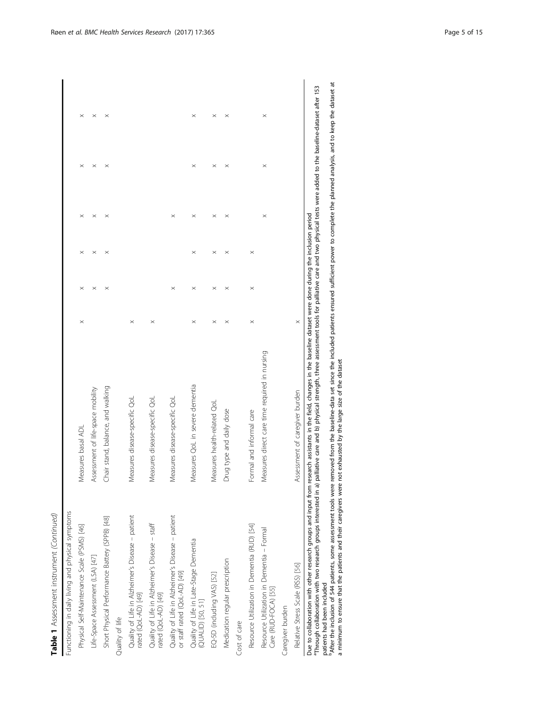| Table 1 Assessment instrument (Continued)                                        |                                               |          |          |          |          |          |          |
|----------------------------------------------------------------------------------|-----------------------------------------------|----------|----------|----------|----------|----------|----------|
| Functioning in daily living and physical symptoms                                |                                               |          |          |          |          |          |          |
| Physical Self-Maintenance Scale (PSMS) [46]                                      | Measures basal ADL                            | $\times$ | $\times$ |          | $\times$ | $\times$ | $\times$ |
| Life-Space Assessment (LSA) [47]                                                 | Assessment of life-space mobility             |          | $\times$ | $\times$ | $\times$ | $\times$ | $\times$ |
| Short Physical Performance Battery (SPPB) [48]                                   | Chair stand, balance, and walking             |          | $\times$ | $\times$ | $\times$ | $\times$ | $\times$ |
| Quality of life                                                                  |                                               |          |          |          |          |          |          |
| Quality of Life in Alzheimer's Disease - patient<br>rated (QoL-AD) [49]          | Measures disease-specific QoL                 | $\times$ |          |          |          |          |          |
| Quality of Life in Alzheimer's Disease - staff<br>rated (QoL-AD) [49]            | Measures disease-specific QoL                 | $\times$ |          |          |          |          |          |
| Quality of Life in Alzheimer's Disease - patient<br>or staff rated (QoL-AD) [49] | Measures disease-specific QoL                 |          | $\times$ |          | $\times$ |          |          |
| Quality of Life in Late-Stage Dementia<br>(QUALID) [50, 51]                      | Measures QoL in severe dementia               | $\times$ | $\times$ | $\times$ | $\times$ | $\times$ | $\times$ |
| EQ-5D (including VAS) [52]                                                       | Measures health-related QoL                   | $\times$ | $\times$ | $\times$ | $\times$ | $\times$ | $\times$ |
| Medication regular prescription                                                  | Drug type and daily dose                      | $\times$ | $\times$ | $\times$ | $\times$ | $\times$ | $\times$ |
| Cost of care                                                                     |                                               |          |          |          |          |          |          |
| Resource Utilization in Dementia (RUD) [54]                                      | Formal and informal care                      | $\times$ | $\times$ | $\times$ |          |          |          |
| Resource Utilization in Dementia - Formal<br>Care (RUD-FOCA) [55]                | Measures direct care time required in nursing |          |          |          | $\times$ | $\times$ | $\times$ |
| Caregiver burden                                                                 |                                               |          |          |          |          |          |          |

Due to collaboration with other research groups and input from research assistants in the field, changes in the baseline dataset were done during the inclusion period  $\times$ Relative Stress Scale (RSS) [\[56](#page-13-0)] Assessment of caregiver burden x Assessment of caregiver burden Relative Stress Scale (RSS) [56]

Due to collaboration with other research groups and input from research assistants in the field, changes in the baseline dataset were done during the inclusion period<br>\*Through collaboration with two research groups interes aThrough collaboration with two research groups interested in a) palliative care and b) physical strength, three assessment tools for palliative care and two physical tests were added to the baseline-dataset after 153 patients had been included patients had been included

<sup>b</sup>After the inclusion of 544 patients, some assessment tools were removed from the baseline-data set since the included patients ensured sufficient power to complete the planned analysis, and to keep the dataset at<br>a mini After the inclusion of 544 patients, some assessment tools were removed from the baseline-data set since the included patients ensured sufficient power to complete the planned analysis, and to keep the dataset at a minimum to ensure that the patients and their caregivers were not exhausted by the large size of the dataset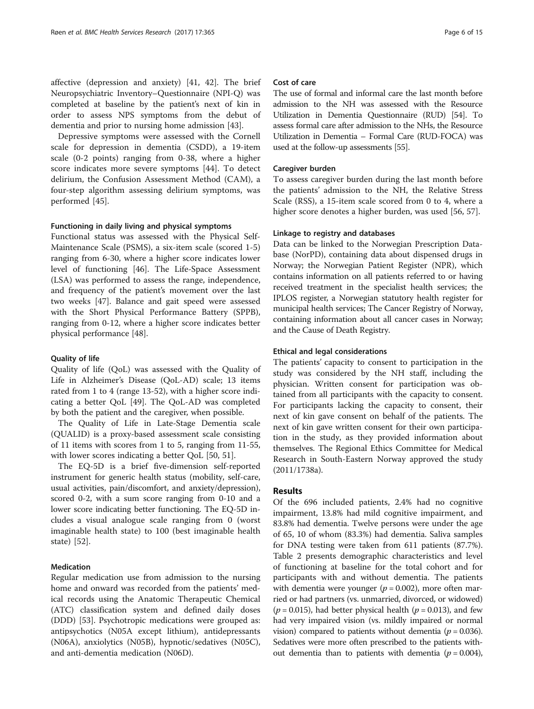affective (depression and anxiety) [\[41, 42\]](#page-13-0). The brief Neuropsychiatric Inventory–Questionnaire (NPI-Q) was completed at baseline by the patient's next of kin in order to assess NPS symptoms from the debut of dementia and prior to nursing home admission [[43](#page-13-0)].

Depressive symptoms were assessed with the Cornell scale for depression in dementia (CSDD), a 19-item scale (0-2 points) ranging from 0-38, where a higher score indicates more severe symptoms [\[44](#page-13-0)]. To detect delirium, the Confusion Assessment Method (CAM), a four-step algorithm assessing delirium symptoms, was performed [[45](#page-13-0)].

#### Functioning in daily living and physical symptoms

Functional status was assessed with the Physical Self-Maintenance Scale (PSMS), a six-item scale (scored 1-5) ranging from 6-30, where a higher score indicates lower level of functioning [\[46](#page-13-0)]. The Life-Space Assessment (LSA) was performed to assess the range, independence, and frequency of the patient's movement over the last two weeks [\[47\]](#page-13-0). Balance and gait speed were assessed with the Short Physical Performance Battery (SPPB), ranging from 0-12, where a higher score indicates better physical performance [\[48\]](#page-13-0).

## Quality of life

Quality of life (QoL) was assessed with the Quality of Life in Alzheimer's Disease (QoL-AD) scale; 13 items rated from 1 to 4 (range 13-52), with a higher score indicating a better QoL [\[49](#page-13-0)]. The QoL-AD was completed by both the patient and the caregiver, when possible.

The Quality of Life in Late-Stage Dementia scale (QUALID) is a proxy-based assessment scale consisting of 11 items with scores from 1 to 5, ranging from 11-55, with lower scores indicating a better OoL [\[50, 51\]](#page-13-0).

The EQ-5D is a brief five-dimension self-reported instrument for generic health status (mobility, self-care, usual activities, pain/discomfort, and anxiety/depression), scored 0-2, with a sum score ranging from 0-10 and a lower score indicating better functioning. The EQ-5D includes a visual analogue scale ranging from 0 (worst imaginable health state) to 100 (best imaginable health state) [[52\]](#page-13-0).

# Medication

Regular medication use from admission to the nursing home and onward was recorded from the patients' medical records using the Anatomic Therapeutic Chemical (ATC) classification system and defined daily doses (DDD) [\[53](#page-13-0)]. Psychotropic medications were grouped as: antipsychotics (N05A except lithium), antidepressants (N06A), anxiolytics (N05B), hypnotic/sedatives (N05C), and anti-dementia medication (N06D).

# Cost of care

The use of formal and informal care the last month before admission to the NH was assessed with the Resource Utilization in Dementia Questionnaire (RUD) [\[54\]](#page-13-0). To assess formal care after admission to the NHs, the Resource Utilization in Dementia – Formal Care (RUD-FOCA) was used at the follow-up assessments [[55](#page-13-0)].

#### Caregiver burden

To assess caregiver burden during the last month before the patients' admission to the NH, the Relative Stress Scale (RSS), a 15-item scale scored from 0 to 4, where a higher score denotes a higher burden, was used [[56, 57](#page-13-0)].

#### Linkage to registry and databases

Data can be linked to the Norwegian Prescription Database (NorPD), containing data about dispensed drugs in Norway; the Norwegian Patient Register (NPR), which contains information on all patients referred to or having received treatment in the specialist health services; the IPLOS register, a Norwegian statutory health register for municipal health services; The Cancer Registry of Norway, containing information about all cancer cases in Norway; and the Cause of Death Registry.

## Ethical and legal considerations

The patients' capacity to consent to participation in the study was considered by the NH staff, including the physician. Written consent for participation was obtained from all participants with the capacity to consent. For participants lacking the capacity to consent, their next of kin gave consent on behalf of the patients. The next of kin gave written consent for their own participation in the study, as they provided information about themselves. The Regional Ethics Committee for Medical Research in South-Eastern Norway approved the study (2011/1738a).

# Results

Of the 696 included patients, 2.4% had no cognitive impairment, 13.8% had mild cognitive impairment, and 83.8% had dementia. Twelve persons were under the age of 65, 10 of whom (83.3%) had dementia. Saliva samples for DNA testing were taken from 611 patients (87.7%). Table [2](#page-6-0) presents demographic characteristics and level of functioning at baseline for the total cohort and for participants with and without dementia. The patients with dementia were younger ( $p = 0.002$ ), more often married or had partners (vs. unmarried, divorced, or widowed)  $(p = 0.015)$ , had better physical health  $(p = 0.013)$ , and few had very impaired vision (vs. mildly impaired or normal vision) compared to patients without dementia ( $p = 0.036$ ). Sedatives were more often prescribed to the patients without dementia than to patients with dementia ( $p = 0.004$ ),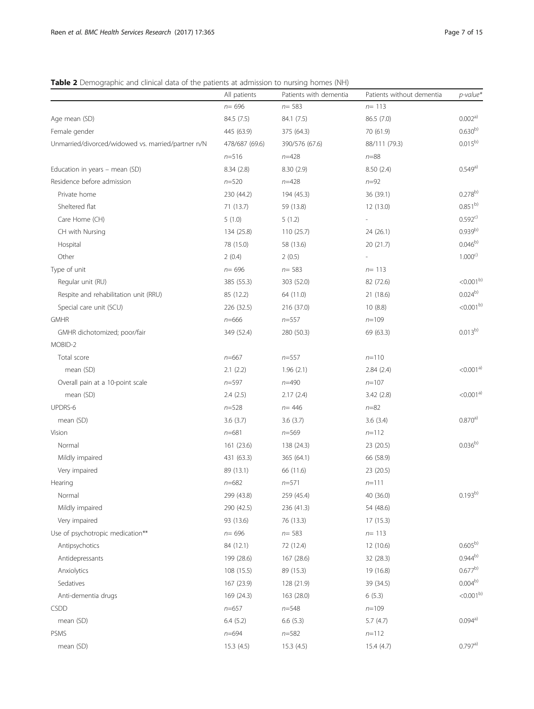# <span id="page-6-0"></span>Table 2 Demographic and clinical data of the patients at admission to nursing homes (NH)

|                                                    | All patients   | Patients with dementia | Patients without dementia | $p$ -value*              |
|----------------------------------------------------|----------------|------------------------|---------------------------|--------------------------|
|                                                    | $n = 696$      | $n = 583$              | $n = 113$                 |                          |
| Age mean (SD)                                      | 84.5 (7.5)     | 84.1 (7.5)             | 86.5 (7.0)                | 0.002a)                  |
| Female gender                                      | 445 (63.9)     | 375 (64.3)             | 70 (61.9)                 | $0.630^{b}$              |
| Unmarried/divorced/widowed vs. married/partner n/N | 478/687 (69.6) | 390/576 (67.6)         | 88/111 (79.3)             | $0.015^{b}$              |
|                                                    | $n = 516$      | $n = 428$              | $n = 88$                  |                          |
| Education in years - mean (SD)                     | 8.34(2.8)      | 8.30(2.9)              | 8.50(2.4)                 | 0.549a)                  |
| Residence before admission                         | $n = 520$      | $n = 428$              | $n = 92$                  |                          |
| Private home                                       | 230 (44.2)     | 194 (45.3)             | 36 (39.1)                 | $0.278^{b}$              |
| Sheltered flat                                     | 71 (13.7)      | 59 (13.8)              | 12 (13.0)                 | $0.851^{b}$              |
| Care Home (CH)                                     | 5(1.0)         | 5(1.2)                 |                           | $0.592^{c}$              |
| CH with Nursing                                    | 134 (25.8)     | 110 (25.7)             | 24 (26.1)                 | $0.939^{b)}$             |
| Hospital                                           | 78 (15.0)      | 58 (13.6)              | 20 (21.7)                 | $0.046^{b}$              |
| Other                                              | 2(0.4)         | 2(0.5)                 |                           | $1.000^{c}$              |
| Type of unit                                       | $n = 696$      | $n = 583$              | $n = 113$                 |                          |
| Regular unit (RU)                                  | 385 (55.3)     | 303 (52.0)             | 82 (72.6)                 | $< 0.001^{b}$            |
| Respite and rehabilitation unit (RRU)              | 85 (12.2)      | 64 (11.0)              | 21 (18.6)                 | $0.024^{b}$              |
| Special care unit (SCU)                            | 226 (32.5)     | 216 (37.0)             | 10(8.8)                   | $< 0.001^{b}$            |
| <b>GMHR</b>                                        | $n = 666$      | $n = 557$              | $n = 109$                 |                          |
| GMHR dichotomized; poor/fair                       | 349 (52.4)     | 280 (50.3)             | 69 (63.3)                 | $0.013^{b}$              |
| MOBID-2                                            |                |                        |                           |                          |
| Total score                                        | $n = 667$      | $n = 557$              | $n = 110$                 |                          |
| mean (SD)                                          | 2.1(2.2)       | 1.96(2.1)              | 2.84(2.4)                 | $<$ 0.001 <sup>a)</sup>  |
| Overall pain at a 10-point scale                   | $n = 597$      | $n = 490$              | $n = 107$                 |                          |
| mean (SD)                                          | 2.4(2.5)       | 2.17(2.4)              | 3.42(2.8)                 | $< 0.001a$ <sup>a)</sup> |
| UPDRS-6                                            | $n = 528$      | $n = 446$              | $n = 82$                  |                          |
| mean (SD)                                          | 3.6(3.7)       | 3.6(3.7)               | 3.6(3.4)                  | 0.870a)                  |
| Vision                                             | $n = 681$      | $n = 569$              | $n=112$                   |                          |
| Normal                                             | 161(23.6)      | 138 (24.3)             | 23 (20.5)                 | $0.036^{b)}$             |
| Mildly impaired                                    | 431 (63.3)     | 365 (64.1)             | 66 (58.9)                 |                          |
| Very impaired                                      | 89 (13.1)      | 66 (11.6)              | 23 (20.5)                 |                          |
| Hearing                                            | $n = 682$      | $n = 571$              | $n = 111$                 |                          |
| Normal                                             | 299 (43.8)     | 259 (45.4)             | 40 (36.0)                 | $0.193^{b)}$             |
| Mildly impaired                                    | 290 (42.5)     | 236 (41.3)             | 54 (48.6)                 |                          |
| Very impaired                                      | 93 (13.6)      | 76 (13.3)              | 17(15.3)                  |                          |
| Use of psychotropic medication**                   | $n = 696$      | $n = 583$              | $n = 113$                 |                          |
| Antipsychotics                                     | 84 (12.1)      | 72 (12.4)              | 12 (10.6)                 | $0.605^{b}$              |
| Antidepressants                                    | 199 (28.6)     | 167 (28.6)             | 32 (28.3)                 | $0.944^{b}$              |
| Anxiolytics                                        | 108 (15.5)     | 89 (15.3)              | 19 (16.8)                 | $0.677^{b}$              |
| Sedatives                                          | 167 (23.9)     | 128 (21.9)             | 39 (34.5)                 | $0.004^{b)}$             |
| Anti-dementia drugs                                | 169 (24.3)     | 163 (28.0)             | 6(5.3)                    | $< 0.001^{b}$            |
| <b>CSDD</b>                                        | $n = 657$      | $n = 548$              | $n = 109$                 |                          |
| mean (SD)                                          | 6.4(5.2)       | 6.6(5.3)               | 5.7(4.7)                  | 0.094a)                  |
| PSMS                                               | $n = 694$      | $n = 582$              | $n=112$                   |                          |
| mean (SD)                                          | 15.3(4.5)      | 15.3(4.5)              | 15.4 (4.7)                | 0.797a)                  |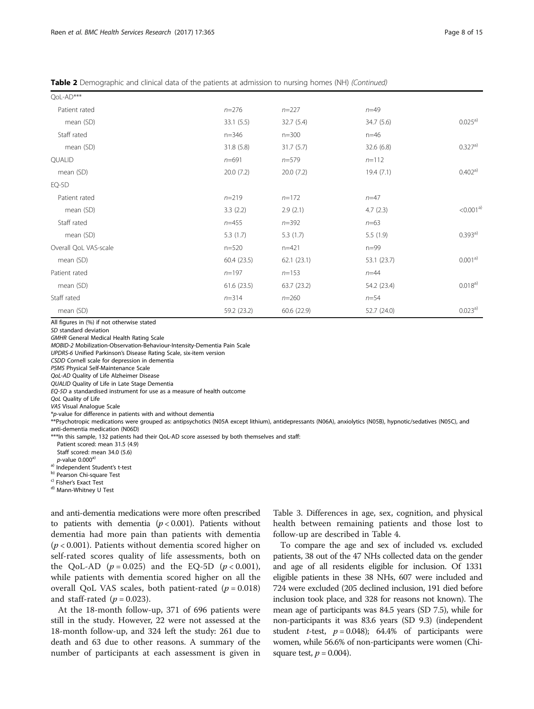Table 2 Demographic and clinical data of the patients at admission to nursing homes (NH) (Continued)

| QoL-AD***             |             |             |             |             |
|-----------------------|-------------|-------------|-------------|-------------|
| Patient rated         | $n = 276$   | $n = 227$   | $n = 49$    |             |
| mean (SD)             | 33.1(5.5)   | 32.7(5.4)   | 34.7 (5.6)  | $0.025^{a}$ |
| Staff rated           | $n = 346$   | $n = 300$   | $n=46$      |             |
| mean (SD)             | 31.8(5.8)   | 31.7(5.7)   | 32.6 (6.8)  | 0.327a)     |
| <b>QUALID</b>         | $n = 691$   | $n = 579$   | $n=112$     |             |
| mean (SD)             | 20.0(7.2)   | 20.0(7.2)   | 19.4(7.1)   | 0.402a)     |
| $EQ-5D$               |             |             |             |             |
| Patient rated         | $n = 219$   | $n=172$     | $n = 47$    |             |
| mean (SD)             | 3.3(2.2)    | 2.9(2.1)    | 4.7(2.3)    | < 0.001a3)  |
| Staff rated           | $n = 455$   | $n = 392$   | $n = 63$    |             |
| mean (SD)             | 5.3(1.7)    | 5.3(1.7)    | 5.5(1.9)    | 0.393a)     |
| Overall QoL VAS-scale | $n = 520$   | $n = 421$   | $n=99$      |             |
| mean (SD)             | 60.4(23.5)  | 62.1(23.1)  | 53.1 (23.7) | $0.001^{a}$ |
| Patient rated         | $n = 197$   | $n = 153$   | $n=44$      |             |
| mean (SD)             | 61.6(23.5)  | 63.7(23.2)  | 54.2 (23.4) | 0.018a)     |
| Staff rated           | $n = 314$   | $n = 260$   | $n = 54$    |             |
| mean (SD)             | 59.2 (23.2) | 60.6 (22.9) | 52.7 (24.0) | $0.023^{a}$ |

All figures in (%) if not otherwise stated

SD standard deviation

GMHR General Medical Health Rating Scale MOBID-2 Mobilization-Observation-Behaviour-Intensity-Dementia Pain Scale UPDRS-6 Unified Parkinson's Disease Rating Scale, six-item version CSDD Cornell scale for depression in dementia PSMS Physical Self-Maintenance Scale QoL-AD Quality of Life Alzheimer Disease QUALID Quality of Life in Late Stage Dementia EQ-5D a standardised instrument for use as a measure of health outcome QoL Quality of Life VAS Visual Analogue Scale \*p-value for difference in patients with and without dementia \*\*Psychotropic medications were grouped as: antipsychotics (N05A except lithium), antidepressants (N06A), anxiolytics (N05B), hypnotic/sedatives (N05C), and anti-dementia medication (N06D)

\*\*\*In this sample, 132 patients had their QoL-AD score assessed by both themselves and staff:

Patient scored: mean 31.5 (4.9)

Staff scored: mean 34.0 (5.6)  $p$ -value 0.000 $a$ 

a) Independent Student's t-test<br>
b) Pearson Chi-square Test<br>
c) Fisher's Exact Test<br>
d) Mann-Whitney U Test

and anti-dementia medications were more often prescribed to patients with dementia  $(p < 0.001)$ . Patients without dementia had more pain than patients with dementia  $(p < 0.001)$ . Patients without dementia scored higher on self-rated scores quality of life assessments, both on the QoL-AD ( $p = 0.025$ ) and the EQ-5D ( $p < 0.001$ ), while patients with dementia scored higher on all the overall QoL VAS scales, both patient-rated  $(p = 0.018)$ and staff-rated  $(p = 0.023)$ .

At the 18-month follow-up, 371 of 696 patients were still in the study. However, 22 were not assessed at the 18-month follow-up, and 324 left the study: 261 due to death and 63 due to other reasons. A summary of the number of participants at each assessment is given in

Table [3.](#page-8-0) Differences in age, sex, cognition, and physical health between remaining patients and those lost to follow-up are described in Table [4.](#page-9-0)

To compare the age and sex of included vs. excluded patients, 38 out of the 47 NHs collected data on the gender and age of all residents eligible for inclusion. Of 1331 eligible patients in these 38 NHs, 607 were included and 724 were excluded (205 declined inclusion, 191 died before inclusion took place, and 328 for reasons not known). The mean age of participants was 84.5 years (SD 7.5), while for non-participants it was 83.6 years (SD 9.3) (independent student *t*-test,  $p = 0.048$ ; 64.4% of participants were women, while 56.6% of non-participants were women (Chisquare test,  $p = 0.004$ ).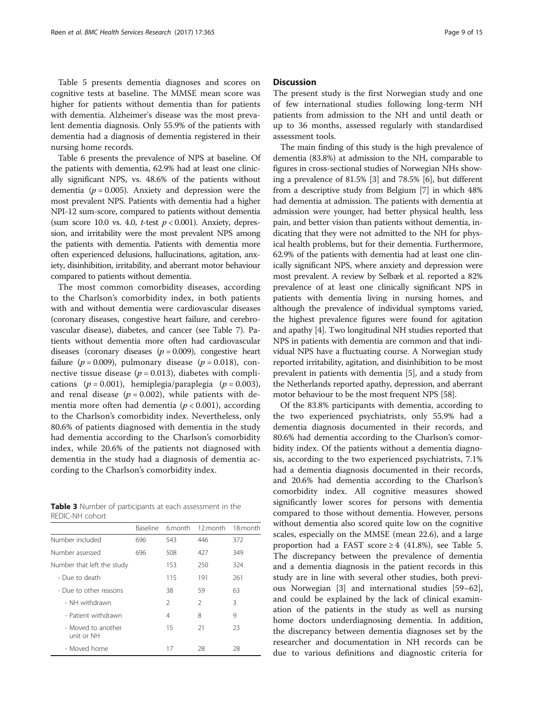<span id="page-8-0"></span>Table [5](#page-9-0) presents dementia diagnoses and scores on cognitive tests at baseline. The MMSE mean score was higher for patients without dementia than for patients with dementia. Alzheimer's disease was the most prevalent dementia diagnosis. Only 55.9% of the patients with dementia had a diagnosis of dementia registered in their nursing home records.

Table [6](#page-10-0) presents the prevalence of NPS at baseline. Of the patients with dementia, 62.9% had at least one clinically significant NPS, vs. 48.6% of the patients without dementia ( $p = 0.005$ ). Anxiety and depression were the most prevalent NPS. Patients with dementia had a higher NPI-12 sum-score, compared to patients without dementia (sum score 10.0 vs. 4.0, *t*-test  $p < 0.001$ ). Anxiety, depression, and irritability were the most prevalent NPS among the patients with dementia. Patients with dementia more often experienced delusions, hallucinations, agitation, anxiety, disinhibition, irritability, and aberrant motor behaviour compared to patients without dementia.

The most common comorbidity diseases, according to the Charlson's comorbidity index, in both patients with and without dementia were cardiovascular diseases (coronary diseases, congestive heart failure, and cerebrovascular disease), diabetes, and cancer (see Table [7](#page-11-0)). Patients without dementia more often had cardiovascular diseases (coronary diseases  $(p = 0.009)$ , congestive heart failure ( $p = 0.009$ ), pulmonary disease ( $p = 0.018$ ), connective tissue disease ( $p = 0.013$ ), diabetes with complications  $(p = 0.001)$ , hemiplegia/paraplegia  $(p = 0.003)$ , and renal disease  $(p = 0.002)$ , while patients with dementia more often had dementia ( $p < 0.001$ ), according to the Charlson's comorbidity index. Nevertheless, only 80.6% of patients diagnosed with dementia in the study had dementia according to the Charlson's comorbidity index, while 20.6% of the patients not diagnosed with dementia in the study had a diagnosis of dementia according to the Charlson's comorbidity index.

Table 3 Number of participants at each assessment in the REDIC-NH cohort

|                                  | <b>Baseline</b> | 6 month       | 12.month      | 18.month |
|----------------------------------|-----------------|---------------|---------------|----------|
| Number included                  | 696             | 543           | 446           | 372      |
| Number assessed                  | 696             | 508           | 427           | 349      |
| Number that left the study       |                 | 153           | 250           | 324      |
| - Due to death                   |                 | 115           | 191           | 261      |
| - Due to other reasons           |                 | 38            | 59            | 63       |
| - NH withdrawn                   |                 | $\mathcal{P}$ | $\mathcal{L}$ | 3        |
| - Patient withdrawn              |                 | 4             | 8             | 9        |
| - Moved to another<br>unit or NH |                 | 15            | 21            | 23       |
| - Moved home                     |                 | 17            | 28            | 28       |

## **Discussion**

The present study is the first Norwegian study and one of few international studies following long-term NH patients from admission to the NH and until death or up to 36 months, assessed regularly with standardised assessment tools.

The main finding of this study is the high prevalence of dementia (83.8%) at admission to the NH, comparable to figures in cross-sectional studies of Norwegian NHs showing a prevalence of 81.5% [\[3](#page-12-0)] and 78.5% [[6](#page-12-0)], but different from a descriptive study from Belgium [\[7\]](#page-12-0) in which 48% had dementia at admission. The patients with dementia at admission were younger, had better physical health, less pain, and better vision than patients without dementia, indicating that they were not admitted to the NH for physical health problems, but for their dementia. Furthermore, 62.9% of the patients with dementia had at least one clinically significant NPS, where anxiety and depression were most prevalent. A review by Selbæk et al. reported a 82% prevalence of at least one clinically significant NPS in patients with dementia living in nursing homes, and although the prevalence of individual symptoms varied, the highest prevalence figures were found for agitation and apathy [\[4](#page-12-0)]. Two longitudinal NH studies reported that NPS in patients with dementia are common and that individual NPS have a fluctuating course. A Norwegian study reported irritability, agitation, and disinhibition to be most prevalent in patients with dementia [\[5](#page-12-0)], and a study from the Netherlands reported apathy, depression, and aberrant motor behaviour to be the most frequent NPS [[58](#page-13-0)].

Of the 83.8% participants with dementia, according to the two experienced psychiatrists, only 55.9% had a dementia diagnosis documented in their records, and 80.6% had dementia according to the Charlson's comorbidity index. Of the patients without a dementia diagnosis, according to the two experienced psychiatrists, 7.1% had a dementia diagnosis documented in their records, and 20.6% had dementia according to the Charlson's comorbidity index. All cognitive measures showed significantly lower scores for persons with dementia compared to those without dementia. However, persons without dementia also scored quite low on the cognitive scales, especially on the MMSE (mean 22.6), and a large proportion had a FAST score  $\geq 4$  (41.8%), see Table [5](#page-9-0). The discrepancy between the prevalence of dementia and a dementia diagnosis in the patient records in this study are in line with several other studies, both previous Norwegian [\[3\]](#page-12-0) and international studies [[59](#page-14-0)–[62](#page-14-0)], and could be explained by the lack of clinical examination of the patients in the study as well as nursing home doctors underdiagnosing dementia. In addition, the discrepancy between dementia diagnoses set by the researcher and documentation in NH records can be due to various definitions and diagnostic criteria for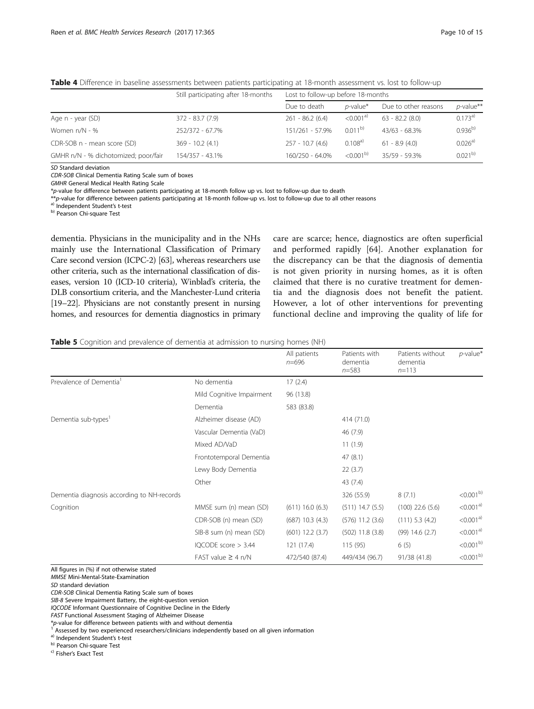|                                      | Still participating after 18-months | Lost to follow-up before 18-months |                      |                      |             |
|--------------------------------------|-------------------------------------|------------------------------------|----------------------|----------------------|-------------|
|                                      |                                     | Due to death                       | $p$ -value*          | Due to other reasons | p-value**   |
| Age n - year (SD)                    | $372 - 83.7(7.9)$                   | $261 - 86.2(6.4)$                  | < 0.001 <sup>a</sup> | $63 - 82.2(8.0)$     | $0.173^{a}$ |
| Women $n/N - %$                      | 252/372 - 67.7%                     | 151/261 - 57.9%                    | $0.011^{b}$          | $43/63 - 68.3%$      | $0.936^{b}$ |
| CDR-SOB n - mean score (SD)          | $369 - 10.2(4.1)$                   | $257 - 10.7(4.6)$                  | $0.108^{a}$          | $61 - 8.9(4.0)$      | 0.026a)     |
| GMHR n/N - % dichotomized; poor/fair | 154/357 - 43.1%                     | 160/250 - 64.0%                    | $< 0.001^{b}$        | $35/59 - 59.3%$      | $0.021^{b}$ |

<span id="page-9-0"></span>Table 4 Difference in baseline assessments between patients participating at 18-month assessment vs. lost to follow-up

SD Standard deviation

CDR-SOB Clinical Dementia Rating Scale sum of boxes

GMHR General Medical Health Rating Scale

\*p-value for difference between patients participating at 18-month follow up vs. lost to follow-up due to death

\*\*p-value for difference between patients participating at 18-month follow-up vs. lost to follow-up due to all other reasons a) Independent Student's t-test b) Pearson Chi-square Test

dementia. Physicians in the municipality and in the NHs mainly use the International Classification of Primary Care second version (ICPC-2) [[63](#page-14-0)], whereas researchers use other criteria, such as the international classification of diseases, version 10 (ICD-10 criteria), Winblad's criteria, the DLB consortium criteria, and the Manchester-Lund criteria [[19](#page-13-0)–[22](#page-13-0)]. Physicians are not constantly present in nursing homes, and resources for dementia diagnostics in primary

care are scarce; hence, diagnostics are often superficial and performed rapidly [[64\]](#page-14-0). Another explanation for the discrepancy can be that the diagnosis of dementia is not given priority in nursing homes, as it is often claimed that there is no curative treatment for dementia and the diagnosis does not benefit the patient. However, a lot of other interventions for preventing functional decline and improving the quality of life for

Table 5 Cognition and prevalence of dementia at admission to nursing homes (NH)

|                                            |                           | All patients<br>$n = 696$ | Patients with<br>dementia<br>$n = 583$ | Patients without<br>dementia<br>$n = 113$ | $p$ -value <sup>*</sup> |
|--------------------------------------------|---------------------------|---------------------------|----------------------------------------|-------------------------------------------|-------------------------|
| Prevalence of Dementia <sup>1</sup>        | No dementia               | 17(2.4)                   |                                        |                                           |                         |
|                                            | Mild Cognitive Impairment | 96 (13.8)                 |                                        |                                           |                         |
|                                            | Dementia                  | 583 (83.8)                |                                        |                                           |                         |
| Dementia sub-types <sup>1</sup>            | Alzheimer disease (AD)    |                           | 414 (71.0)                             |                                           |                         |
|                                            | Vascular Dementia (VaD)   |                           | 46 (7.9)                               |                                           |                         |
|                                            | Mixed AD/VaD              |                           | 11(1.9)                                |                                           |                         |
|                                            | Frontotemporal Dementia   |                           | 47(8.1)                                |                                           |                         |
|                                            | Lewy Body Dementia        |                           | 22(3.7)                                |                                           |                         |
|                                            | Other                     |                           | 43 (7.4)                               |                                           |                         |
| Dementia diagnosis according to NH-records |                           |                           | 326 (55.9)                             | 8(7.1)                                    | $< 0.001^{b}$           |
| Cognition                                  | MMSE sum (n) mean (SD)    | $(611)$ 16.0 $(6.3)$      | $(511)$ 14.7 $(5.5)$                   | $(100)$ 22.6 $(5.6)$                      | $<$ 0.001 <sup>a)</sup> |
|                                            | CDR-SOB (n) mean (SD)     | $(687)$ 10.3 $(4.3)$      | $(576)$ 11.2 $(3.6)$                   | (111) 5.3 (4.2)                           | $<$ 0.001 <sup>a)</sup> |
|                                            | SIB-8 sum (n) mean (SD)   | $(601)$ 12.2 $(3.7)$      | $(502)$ 11.8 $(3.8)$                   | $(99)$ 14.6 $(2.7)$                       | $<$ 0.001 <sup>a)</sup> |
|                                            | IQCODE score > 3.44       | 121 (17.4)                | 115(95)                                | 6(5)                                      | $< 0.001^{b}$           |
|                                            | FAST value $\geq$ 4 n/N   | 472/540 (87.4)            | 449/434 (96.7)                         | 91/38 (41.8)                              | $< 0.001^{b}$           |

All figures in (%) if not otherwise stated

MMSE Mini-Mental-State-Examination

SD standard deviation

CDR-SOB Clinical Dementia Rating Scale sum of boxes

SIB-8 Severe Impairment Battery, the eight-question version

IQCODE Informant Questionnaire of Cognitive Decline in the Elderly

FAST Functional Assessment Staging of Alzheimer Disease

\*p-value for difference between patients with and without dementia<br><sup>1</sup> Assessed by two experienced researchers/clinicians independently based on all given information

<sup>a)</sup> Independent Student's t-test<br>
<sup>b)</sup> Pearson Chi-square Test<br>
<sup>c</sup>) Fisher's Exact Test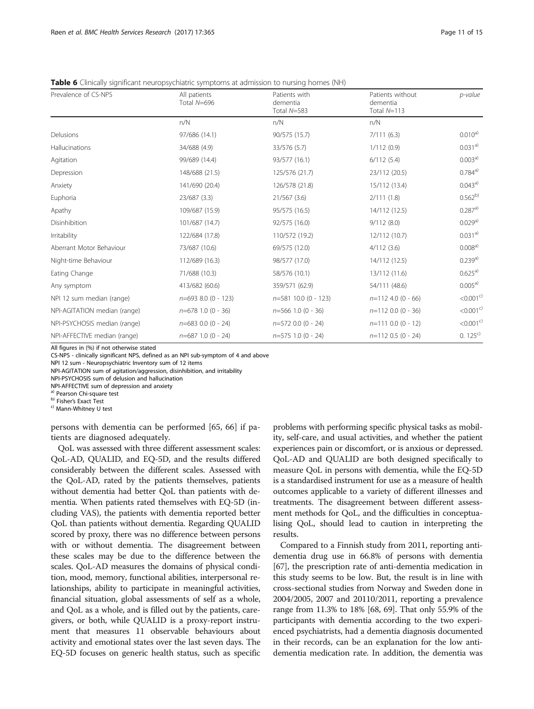<span id="page-10-0"></span>**Table 6** Clinically significant neuropsychiatric symptoms at admission to nursing homes (NH)

| Prevalence of CS-NPS         | All patients<br>Total N=696 | Patients with<br>dementia<br>Total N=583 | Patients without<br>dementia<br>Total $N=113$ | p-value                 |
|------------------------------|-----------------------------|------------------------------------------|-----------------------------------------------|-------------------------|
|                              | n/N                         | n/N                                      | n/N                                           |                         |
| Delusions                    | 97/686 (14.1)               | 90/575 (15.7)                            | 7/111(6.3)                                    | $0.010^{a)}$            |
| Hallucinations               | 34/688 (4.9)                | 33/576 (5.7)                             | 1/112(0.9)                                    | 0.031a3)                |
| Agitation                    | 99/689 (14.4)               | 93/577 (16.1)                            | 6/112(5.4)                                    | $0.003^{a}$             |
| Depression                   | 148/688 (21.5)              | 125/576 (21.7)                           | 23/112 (20.5)                                 | 0.784a3)                |
| Anxiety                      | 141/690 (20.4)              | 126/578 (21.8)                           | 15/112 (13.4)                                 | 0.043a3)                |
| Euphoria                     | 23/687 (3.3)                | 21/567(3.6)                              | 2/111(1.8)                                    | $0.562^{b}$             |
| Apathy                       | 109/687 (15.9)              | 95/575 (16.5)                            | 14/112 (12.5)                                 | 0.287a)                 |
| Disinhibition                | 101/687 (14.7)              | 92/575 (16.0)                            | 9/112(8.0)                                    | 0.029a)                 |
| Irritability                 | 122/684 (17.8)              | 110/572 (19.2)                           | 12/112 (10.7)                                 | $0.031^{a}$             |
| Aberrant Motor Behaviour     | 73/687 (10.6)               | 69/575 (12.0)                            | 4/112(3.6)                                    | $0.008^{a}$             |
| Night-time Behaviour         | 112/689 (16.3)              | 98/577 (17.0)                            | 14/112 (12.5)                                 | 0.239a)                 |
| Eating Change                | 71/688 (10.3)               | 58/576 (10.1)                            | 13/112 (11.6)                                 | $0.625^{a}$             |
| Any symptom                  | 413/682 (60.6)              | 359/571 (62.9)                           | 54/111 (48.6)                                 | 0.005a)                 |
| NPI 12 sum median (range)    | $n=693$ 8.0 (0 - 123)       | $n=581$ 10.0 (0 - 123)                   | $n=1124.0(0 - 66)$                            | $< 0.001$ <sup>c)</sup> |
| NPI-AGITATION median (range) | $n=678$ 1.0 (0 - 36)        | $n=566$ 1.0 (0 - 36)                     | $n=1120.0(0 - 36)$                            | $< 0.001$ <sup>c)</sup> |
| NPI-PSYCHOSIS median (range) | $n=683$ 0.0 (0 - 24)        | $n=5720.0(0 - 24)$                       | $n=111$ 0.0 (0 - 12)                          | $< 0.001$ <sup>c)</sup> |
| NPI-AFFECTIVE median (range) | $n=687$ 1.0 (0 - 24)        | $n=575$ 1.0 (0 - 24)                     | $n=112$ 0.5 (0 - 24)                          | $0.125^{c}$             |

All figures in (%) if not otherwise stated

CS-NPS - clinically significant NPS, defined as an NPI sub-symptom of 4 and above

NPI 12 sum - Neuropsychiatric Inventory sum of 12 items

NPI-AGITATION sum of agitation/aggression, disinhibition, and irritability

NPI-PSYCHOSIS sum of delusion and hallucination

NPI-AFFECTIVE sum of depression and anxiety

<sup>a)</sup> Pearson Chi-square test<br><sup>b)</sup> Fisher's Exact Test<br><sup>c)</sup> Mann-Whitney U test

persons with dementia can be performed [[65, 66\]](#page-14-0) if patients are diagnosed adequately.

QoL was assessed with three different assessment scales: QoL-AD, QUALID, and EQ-5D, and the results differed considerably between the different scales. Assessed with the QoL-AD, rated by the patients themselves, patients without dementia had better QoL than patients with dementia. When patients rated themselves with EQ-5D (including VAS), the patients with dementia reported better QoL than patients without dementia. Regarding QUALID scored by proxy, there was no difference between persons with or without dementia. The disagreement between these scales may be due to the difference between the scales. QoL-AD measures the domains of physical condition, mood, memory, functional abilities, interpersonal relationships, ability to participate in meaningful activities, financial situation, global assessments of self as a whole, and QoL as a whole, and is filled out by the patients, caregivers, or both, while QUALID is a proxy-report instrument that measures 11 observable behaviours about activity and emotional states over the last seven days. The EQ-5D focuses on generic health status, such as specific

problems with performing specific physical tasks as mobility, self-care, and usual activities, and whether the patient experiences pain or discomfort, or is anxious or depressed. QoL-AD and QUALID are both designed specifically to measure QoL in persons with dementia, while the EQ-5D is a standardised instrument for use as a measure of health outcomes applicable to a variety of different illnesses and treatments. The disagreement between different assessment methods for QoL, and the difficulties in conceptualising QoL, should lead to caution in interpreting the results.

Compared to a Finnish study from 2011, reporting antidementia drug use in 66.8% of persons with dementia [[67](#page-14-0)], the prescription rate of anti-dementia medication in this study seems to be low. But, the result is in line with cross-sectional studies from Norway and Sweden done in 2004/2005, 2007 and 20110/2011, reporting a prevalence range from 11.3% to 18% [\[68, 69\]](#page-14-0). That only 55.9% of the participants with dementia according to the two experienced psychiatrists, had a dementia diagnosis documented in their records, can be an explanation for the low antidementia medication rate. In addition, the dementia was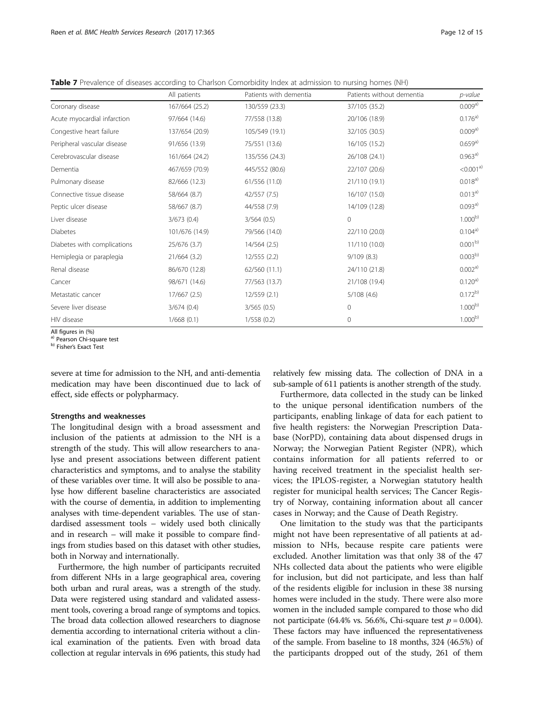<span id="page-11-0"></span>

|  |  |  | Table 7 Prevalence of diseases according to Charlson Comorbidity Index at admission to nursing homes (NH) |
|--|--|--|-----------------------------------------------------------------------------------------------------------|
|  |  |  |                                                                                                           |

|                             | All patients   | Patients with dementia | Patients without dementia | p-value                 |
|-----------------------------|----------------|------------------------|---------------------------|-------------------------|
| Coronary disease            | 167/664 (25.2) | 130/559 (23.3)         | 37/105 (35.2)             | $0.009a}$               |
| Acute myocardial infarction | 97/664 (14.6)  | 77/558 (13.8)          | 20/106 (18.9)             | 0.176a)                 |
| Congestive heart failure    | 137/654 (20.9) | 105/549 (19.1)         | 32/105 (30.5)             | 0.009a)                 |
| Peripheral vascular disease | 91/656 (13.9)  | 75/551 (13.6)          | 16/105 (15.2)             | $0.659a^{})$            |
| Cerebrovascular disease     | 161/664 (24.2) | 135/556 (24.3)         | 26/108 (24.1)             | 0.963a)                 |
| Dementia                    | 467/659 (70.9) | 445/552 (80.6)         | 22/107 (20.6)             | $<$ 0.001 <sup>a)</sup> |
| Pulmonary disease           | 82/666 (12.3)  | 61/556 (11.0)          | 21/110 (19.1)             | $0.018^{a}$             |
| Connective tissue disease   | 58/664 (8.7)   | 42/557 (7.5)           | 16/107 (15.0)             | 0.013a)                 |
| Peptic ulcer disease        | 58/667 (8.7)   | 44/558 (7.9)           | 14/109 (12.8)             | 0.093a)                 |
| Liver disease               | 3/673(0.4)     | 3/564(0.5)             | $\Omega$                  | $1.000^{b)}$            |
| <b>Diabetes</b>             | 101/676 (14.9) | 79/566 (14.0)          | 22/110 (20.0)             | 0.104a3)                |
| Diabetes with complications | 25/676 (3.7)   | 14/564(2.5)            | 11/110 (10.0)             | 0.001 <sup>b</sup>      |
| Hemiplegia or paraplegia    | 21/664 (3.2)   | 12/555 (2.2)           | 9/109(8.3)                | $0.003^{b)}$            |
| Renal disease               | 86/670 (12.8)  | 62/560 (11.1)          | 24/110 (21.8)             | 0.002a)                 |
| Cancer                      | 98/671 (14.6)  | 77/563 (13.7)          | 21/108 (19.4)             | $0.120^{a}$             |
| Metastatic cancer           | 17/667 (2.5)   | 12/559(2.1)            | 5/108(4.6)                | $0.172^{b)}$            |
| Severe liver disease        | 3/674(0.4)     | 3/565(0.5)             | $\mathbf{0}$              | $1.000^{b}$             |
| HIV disease                 | 1/668(0.1)     | 1/558(0.2)             | $\mathbf{0}$              | $1.000^{b}$             |

All figures in (%)

<sup>a)</sup> Pearson Chi-square test<br><sup>b)</sup> Fisher's Exact Test

severe at time for admission to the NH, and anti-dementia medication may have been discontinued due to lack of effect, side effects or polypharmacy.

#### Strengths and weaknesses

The longitudinal design with a broad assessment and inclusion of the patients at admission to the NH is a strength of the study. This will allow researchers to analyse and present associations between different patient characteristics and symptoms, and to analyse the stability of these variables over time. It will also be possible to analyse how different baseline characteristics are associated with the course of dementia, in addition to implementing analyses with time-dependent variables. The use of standardised assessment tools – widely used both clinically and in research – will make it possible to compare findings from studies based on this dataset with other studies, both in Norway and internationally.

Furthermore, the high number of participants recruited from different NHs in a large geographical area, covering both urban and rural areas, was a strength of the study. Data were registered using standard and validated assessment tools, covering a broad range of symptoms and topics. The broad data collection allowed researchers to diagnose dementia according to international criteria without a clinical examination of the patients. Even with broad data collection at regular intervals in 696 patients, this study had

relatively few missing data. The collection of DNA in a sub-sample of 611 patients is another strength of the study.

Furthermore, data collected in the study can be linked to the unique personal identification numbers of the participants, enabling linkage of data for each patient to five health registers: the Norwegian Prescription Database (NorPD), containing data about dispensed drugs in Norway; the Norwegian Patient Register (NPR), which contains information for all patients referred to or having received treatment in the specialist health services; the IPLOS-register, a Norwegian statutory health register for municipal health services; The Cancer Registry of Norway, containing information about all cancer cases in Norway; and the Cause of Death Registry.

One limitation to the study was that the participants might not have been representative of all patients at admission to NHs, because respite care patients were excluded. Another limitation was that only 38 of the 47 NHs collected data about the patients who were eligible for inclusion, but did not participate, and less than half of the residents eligible for inclusion in these 38 nursing homes were included in the study. There were also more women in the included sample compared to those who did not participate (64.4% vs. 56.6%, Chi-square test  $p = 0.004$ ). These factors may have influenced the representativeness of the sample. From baseline to 18 months, 324 (46.5%) of the participants dropped out of the study, 261 of them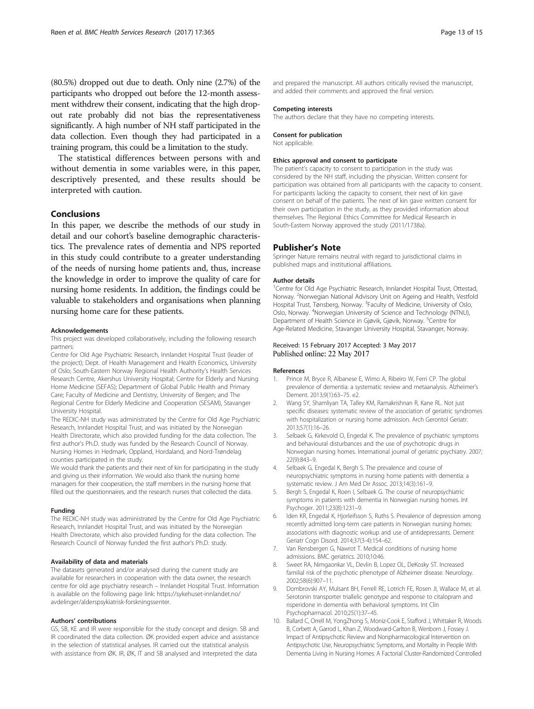<span id="page-12-0"></span>(80.5%) dropped out due to death. Only nine (2.7%) of the participants who dropped out before the 12-month assessment withdrew their consent, indicating that the high dropout rate probably did not bias the representativeness significantly. A high number of NH staff participated in the data collection. Even though they had participated in a training program, this could be a limitation to the study.

The statistical differences between persons with and without dementia in some variables were, in this paper, descriptively presented, and these results should be interpreted with caution.

# Conclusions

In this paper, we describe the methods of our study in detail and our cohort's baseline demographic characteristics. The prevalence rates of dementia and NPS reported in this study could contribute to a greater understanding of the needs of nursing home patients and, thus, increase the knowledge in order to improve the quality of care for nursing home residents. In addition, the findings could be valuable to stakeholders and organisations when planning nursing home care for these patients.

#### Acknowledgements

This project was developed collaboratively, including the following research partners:

Centre for Old Age Psychiatric Research, Innlandet Hospital Trust (leader of the project); Dept. of Health Management and Health Economics, University of Oslo; South-Eastern Norway Regional Health Authority's Health Services Research Centre, Akershus University Hospital; Centre for Elderly and Nursing Home Medicine (SEFAS); Department of Global Public Health and Primary Care; Faculty of Medicine and Dentistry, University of Bergen; and The Regional Centre for Elderly Medicine and Cooperation (SESAM), Stavanger University Hospital.

The REDIC-NH study was administrated by the Centre for Old Age Psychiatric Research, Innlandet Hospital Trust, and was initiated by the Norwegian Health Directorate, which also provided funding for the data collection. The first author's Ph.D. study was funded by the Research Council of Norway. Nursing Homes in Hedmark, Oppland, Hordaland, and Nord-Trøndelag counties participated in the study.

We would thank the patients and their next of kin for participating in the study and giving us their information. We would also thank the nursing home managers for their cooperation, the staff members in the nursing home that filled out the questionnaires, and the research nurses that collected the data.

#### Funding

The REDIC-NH study was administrated by the Centre for Old Age Psychiatric Research, Innlandet Hospital Trust, and was initiated by the Norwegian Health Directorate, which also provided funding for the data collection. The Research Council of Norway funded the first author's Ph.D. study.

#### Availability of data and materials

The datasets generated and/or analysed during the current study are available for researchers in cooperation with the data owner, the research centre for old age psychiatry research – Innlandet Hospital Trust. Information is available on the following page link: [https://sykehuset-innlandet.no/](https://sykehuset-innlandet.no/avdelinger/alderspsykiatrisk-forskningssenter) [avdelinger/alderspsykiatrisk-forskningssenter](https://sykehuset-innlandet.no/avdelinger/alderspsykiatrisk-forskningssenter).

#### Authors' contributions

GS, SB, KE and IR were responsible for the study concept and design. SB and IR coordinated the data collection. ØK provided expert advice and assistance in the selection of statistical analyses. IR carried out the statistical analysis with assistance from ØK. IR, ØK, IT and SB analysed and interpreted the data

and prepared the manuscript. All authors critically revised the manuscript, and added their comments and approved the final version.

#### Competing interests

The authors declare that they have no competing interests.

#### Consent for publication

Not applicable.

#### Ethics approval and consent to participate

The patient's capacity to consent to participation in the study was considered by the NH staff, including the physician. Written consent for participation was obtained from all participants with the capacity to consent. For participants lacking the capacity to consent, their next of kin gave consent on behalf of the patients. The next of kin gave written consent for their own participation in the study, as they provided information about themselves. The Regional Ethics Committee for Medical Research in South-Eastern Norway approved the study (2011/1738a).

#### Publisher's Note

Springer Nature remains neutral with regard to jurisdictional claims in published maps and institutional affiliations.

#### Author details

<sup>1</sup> Centre for Old Age Psychiatric Research, Innlandet Hospital Trust, Ottestad, Norway. <sup>2</sup> Norwegian National Advisory Unit on Ageing and Health, Vestfold Hospital Trust, Tønsberg, Norway. <sup>3</sup> Faculty of Medicine, University of Oslo Oslo, Norway. <sup>4</sup>Norwegian University of Science and Technology (NTNU) Department of Health Science in Gjøvik, Gjøvik, Norway. <sup>5</sup>Centre for Age-Related Medicine, Stavanger University Hospital, Stavanger, Norway.

#### Received: 15 February 2017 Accepted: 3 May 2017 Published online: 22 May 2017

#### References

- 1. Prince M, Bryce R, Albanese E, Wimo A, Ribeiro W, Ferri CP. The global prevalence of dementia: a systematic review and metaanalysis. Alzheimer's Dement. 2013;9(1):63–75. e2.
- 2. Wang SY, Shamliyan TA, Talley KM, Ramakrishnan R, Kane RL. Not just specific diseases: systematic review of the association of geriatric syndromes with hospitalization or nursing home admission. Arch Gerontol Geriatr. 2013;57(1):16–26.
- 3. Selbaek G, Kirkevold O, Engedal K. The prevalence of psychiatric symptoms and behavioural disturbances and the use of psychotropic drugs in Norwegian nursing homes. International journal of geriatric psychiatry. 2007; 22(9):843–9.
- 4. Selbaek G, Engedal K, Bergh S. The prevalence and course of neuropsychiatric symptoms in nursing home patients with dementia: a systematic review. J Am Med Dir Assoc. 2013;14(3):161–9.
- 5. Bergh S, Engedal K, Roen I, Selbaek G. The course of neuropsychiatric symptoms in patients with dementia in Norwegian nursing homes. Int Psychoger. 2011;23(8):1231–9.
- 6. Iden KR, Engedal K, Hjorleifsson S, Ruths S. Prevalence of depression among recently admitted long-term care patients in Norwegian nursing homes: associations with diagnostic workup and use of antidepressants. Dement Geriatr Cogn Disord. 2014;37(3-4):154–62.
- 7. Van Rensbergen G, Nawrot T. Medical conditions of nursing home admissions. BMC geriatrics. 2010;10:46.
- 8. Sweet RA, Nimgaonkar VL, Devlin B, Lopez OL, DeKosky ST. Increased familial risk of the psychotic phenotype of Alzheimer disease. Neurology. 2002;58(6):907–11.
- 9. Dombrovski AY, Mulsant BH, Ferrell RE, Lotrich FE, Rosen JI, Wallace M, et al. Serotonin transporter triallelic genotype and response to citalopram and risperidone in dementia with behavioral symptoms. Int Clin Psychopharmacol. 2010;25(1):37–45.
- 10. Ballard C, Orrell M, YongZhong S, Moniz-Cook E, Stafford J, Whittaker R, Woods B, Corbett A, Garrod L, Khan Z, Woodward-Carlton B, Wenborn J, Fossey J. Impact of Antipsychotic Review and Nonpharmacological Intervention on Antipsychotic Use, Neuropsychiatric Symptoms, and Mortality in People With Dementia Living in Nursing Homes: A Factorial Cluster-Randomized Controlled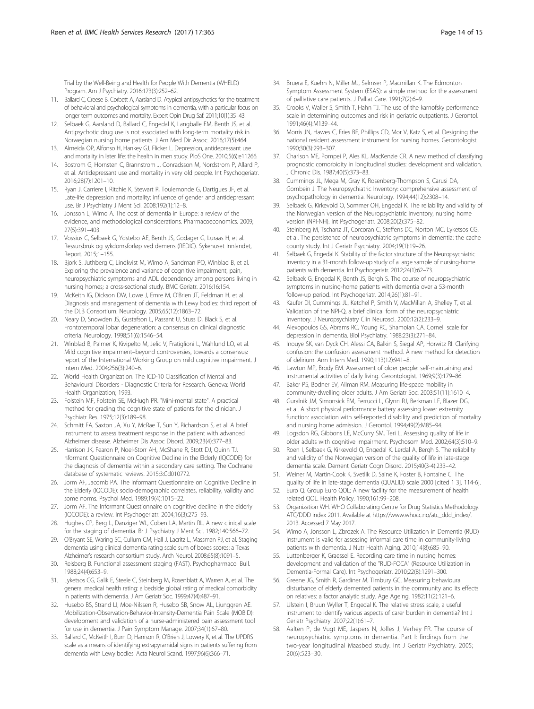<span id="page-13-0"></span>Trial by the Well-Being and Health for People With Dementia (WHELD) Program. Am J Psychiatry. 2016;173(3):252–62.

- 11. Ballard C, Creese B, Corbett A, Aarsland D. Atypical antipsychotics for the treatment of behavioral and psychological symptoms in dementia, with a particular focus on longer term outcomes and mortality. Expert Opin Drug Saf. 2011;10(1):35–43.
- 12. Selbaek G, Aarsland D, Ballard C, Engedal K, Langballe EM, Benth JS, et al. Antipsychotic drug use is not associated with long-term mortality risk in Norwegian nursing home patients. J Am Med Dir Assoc. 2016;17(5):464.
- 13. Almeida OP, Alfonso H, Hankey GJ, Flicker L. Depression, antidepressant use and mortality in later life: the health in men study. PloS One. 2010;5(6):e11266.
- 14. Bostrom G, Hornsten C, Brannstrom J, Conradsson M, Nordstrom P, Allard P, et al. Antidepressant use and mortality in very old people. Int Psychogeriatr. 2016;28(7):1201–10.
- 15. Ryan J, Carriere I, Ritchie K, Stewart R, Toulemonde G, Dartigues JF, et al. Late-life depression and mortality: influence of gender and antidepressant use. Br J Psychiatry J Ment Sci. 2008;192(1):12–8.
- 16. Jonsson L, Wimo A. The cost of dementia in Europe: a review of the evidence, and methodological considerations. Pharmacoeconomics. 2009; 27(5):391–403.
- 17. Vossius C, Selbaek G, Ydstebo AE, Benth JS, Godager G, Luraas H, et al. Ressursbruk og sykdomsforløp ved demens (REDIC). Sykehuset Innlandet, Report. 2015;1–155.
- 18. Bjork S, Juthberg C, Lindkvist M, Wimo A, Sandman PO, Winblad B, et al. Exploring the prevalence and variance of cognitive impairment, pain, neuropsychiatric symptoms and ADL dependency among persons living in nursing homes; a cross-sectional study. BMC Geriatr. 2016;16:154.
- 19. McKeith IG, Dickson DW, Lowe J, Emre M, O'Brien JT, Feldman H, et al. Diagnosis and management of dementia with Lewy bodies: third report of the DLB Consortium. Neurology. 2005;65(12):1863–72.
- 20. Neary D, Snowden JS, Gustafson L, Passant U, Stuss D, Black S, et al. Frontotemporal lobar degeneration: a consensus on clinical diagnostic criteria. Neurology. 1998;51(6):1546–54.
- 21. Winblad B, Palmer K, Kivipelto M, Jelic V, Fratiglioni L, Wahlund LO, et al. Mild cognitive impairment–beyond controversies, towards a consensus: report of the International Working Group on mild cognitive impairment. J Intern Med. 2004;256(3):240–6.
- 22. World Health Organization. The ICD-10 Classification of Mental and Behavioural Disorders - Diagnostic Criteria for Research. Geneva: World Health Organization; 1993.
- 23. Folstein MF, Folstein SE, McHugh PR. "Mini-mental state". A practical method for grading the cognitive state of patients for the clinician. J Psychiatr Res. 1975;12(3):189–98.
- 24. Schmitt FA, Saxton JA, Xu Y, McRae T, Sun Y, Richardson S, et al. A brief instrument to assess treatment response in the patient with advanced Alzheimer disease. Alzheimer Dis Assoc Disord. 2009;23(4):377–83.
- 25. Harrison JK, Fearon P, Noel-Storr AH, McShane R, Stott DJ, Quinn TJ. nformant Questionnaire on Cognitive Decline in the Elderly (IQCODE) for the diagnosis of dementia within a secondary care setting. The Cochrane database of systematic reviews. 2015;3:Cd010772.
- 26. Jorm AF, Jacomb PA. The Informant Questionnaire on Cognitive Decline in the Elderly (IQCODE): socio-demographic correlates, reliability, validity and some norms. Psychol Med. 1989;19(4):1015–22.
- 27. Jorm AF. The Informant Questionnaire on cognitive decline in the elderly (IQCODE): a review. Int Psychogeriatr. 2004;16(3):275–93.
- 28. Hughes CP, Berg L, Danziger WL, Coben LA, Martin RL. A new clinical scale for the staging of dementia. Br J Psychiatry J Ment Sci. 1982;140:566–72.
- 29. O'Bryant SE, Waring SC, Cullum CM, Hall J, Lacritz L, Massman PJ, et al. Staging dementia using clinical dementia rating scale sum of boxes scores: a Texas Alzheimer's research consortium study. Arch Neurol. 2008;65(8):1091–5.
- 30. Reisberg B. Functional assessment staging (FAST). Psychopharmacol Bull. 1988;24(4):653–9.
- 31. Lyketsos CG, Galik E, Steele C, Steinberg M, Rosenblatt A, Warren A, et al. The general medical health rating: a bedside global rating of medical comorbidity in patients with dementia. J Am Geriatr Soc. 1999;47(4):487–91.
- 32. Husebo BS, Strand LI, Moe-Nilssen R, Husebo SB, Snow AL, Ljunggren AE. Mobilization-Observation-Behavior-Intensity-Dementia Pain Scale (MOBID): development and validation of a nurse-administered pain assessment tool for use in dementia. J Pain Symptom Manage. 2007;34(1):67–80.
- 33. Ballard C, McKeith I, Burn D, Harrison R, O'Brien J, Lowery K, et al. The UPDRS scale as a means of identifying extrapyramidal signs in patients suffering from dementia with Lewy bodies. Acta Neurol Scand. 1997;96(6):366–71.
- 34. Bruera E, Kuehn N, Miller MJ, Selmser P, Macmillan K. The Edmonton Symptom Assessment System (ESAS): a simple method for the assessment of palliative care patients. J Palliat Care. 1991;7(2):6–9.
- 35. Crooks V, Waller S, Smith T, Hahn TJ. The use of the karnofsky performance scale in determining outcomes and risk in geriatric outpatients. J Gerontol. 1991;46(4):M139–44.
- 36. Morris JN, Hawes C, Fries BE, Phillips CD, Mor V, Katz S, et al. Designing the national resident assessment instrument for nursing homes. Gerontologist. 1990;30(3):293–307.
- 37. Charlson ME, Pompei P, Ales KL, MacKenzie CR. A new method of classifying prognostic comorbidity in longitudinal studies: development and validation. J Chronic Dis. 1987;40(5):373–83.
- 38. Cummings JL, Mega M, Gray K, Rosenberg-Thompson S, Carusi DA, Gornbein J. The Neuropsychiatric Inventory: comprehensive assessment of psychopathology in dementia. Neurology. 1994;44(12):2308–14.
- Selbaek G, Kirkevold O, Sommer OH, Engedal K. The reliability and validity of the Norwegian version of the Neuropsychiatric Inventory, nursing home version (NPI-NH). Int Psychogeriatr. 2008;20(2):375–82.
- 40. Steinberg M, Tschanz JT, Corcoran C, Steffens DC, Norton MC, Lyketsos CG, et al. The persistence of neuropsychiatric symptoms in dementia: the cache county study. Int J Geriatr Psychiatry. 2004;19(1):19–26.
- 41. Selbaek G, Engedal K. Stability of the factor structure of the Neuropsychiatric Inventory in a 31-month follow-up study of a large sample of nursing-home patients with dementia. Int Psychogeriatr. 2012;24(1):62–73.
- 42. Selbaek G, Engedal K, Benth JS, Bergh S. The course of neuropsychiatric symptoms in nursing-home patients with dementia over a 53-month follow-up period. Int Psychogeriatr. 2014;26(1):81–91.
- 43. Kaufer DI, Cummings JL, Ketchel P, Smith V, MacMillan A, Shelley T, et al. Validation of the NPI-Q, a brief clinical form of the neuropsychiatric inventory. J Neuropsychiatry Clin Neurosci. 2000;12(2):233–9.
- 44. Alexopoulos GS, Abrams RC, Young RC, Shamoian CA. Cornell scale for depression in dementia. Biol Psychiatry. 1988;23(3):271–84.
- 45. Inouye SK, van Dyck CH, Alessi CA, Balkin S, Siegal AP, Horwitz RI. Clarifying confusion: the confusion assessment method. A new method for detection of delirium. Ann Intern Med. 1990;113(12):941–8.
- 46. Lawton MP, Brody EM. Assessment of older people: self-maintaining and instrumental activities of daily living. Gerontologist. 1969;9(3):179–86.
- 47. Baker PS, Bodner EV, Allman RM. Measuring life-space mobility in community-dwelling older adults. J Am Geriatr Soc. 2003;51(11):1610–4.
- 48. Guralnik JM, Simonsick EM, Ferrucci L, Glynn RJ, Berkman LF, Blazer DG, et al. A short physical performance battery assessing lower extremity function: association with self-reported disability and prediction of mortality and nursing home admission. J Gerontol. 1994;49(2):M85–94.
- 49. Logsdon RG, Gibbons LE, McCurry SM, Teri L. Assessing quality of life in older adults with cognitive impairment. Psychosom Med. 2002;64(3):510–9.
- 50. Roen I, Selbaek G, Kirkevold O, Engedal K, Lerdal A, Bergh S. The reliability and validity of the Norwegian version of the quality of life in late-stage dementia scale. Dement Geriatr Cogn Disord. 2015;40(3-4):233–42.
- 51. Weiner M, Martin-Cook K, Svetlik D, Saine K, Foster B, Fontaine C. The quality of life in late-stage dementia (QUALID) scale 2000 [cited 1 3]. 114-6].
- 52. Euro Q. Group Euro QOL: A new facility for the measurement of health related QOL. Health Policy. 1990;161:99–208.
- 53. Organization WH. WHO Collaborating Centre for Drug Statistics Methodology. ATC/DDD index 2011. Available at [https://www.whocc.no/atc\\_ddd\\_index/](https://www.whocc.no/atc_ddd_index/). 2013. Accessed 7 May 2017.
- 54. Wimo A, Jonsson L, Zbrozek A. The Resource Utilization in Dementia (RUD) instrument is valid for assessing informal care time in community-living patients with dementia. J Nutr Health Aging. 2010;14(8):685–90.
- 55. Luttenberger K, Graessel E. Recording care time in nursing homes: development and validation of the "RUD-FOCA" (Resource Utilization in Dementia-Formal Care). Int Psychogeriatr. 2010;22(8):1291–300.
- 56. Greene JG, Smith R, Gardiner M, Timbury GC. Measuring behavioural disturbance of elderly demented patients in the community and its effects on relatives: a factor analytic study. Age Ageing. 1982;11(2):121–6.
- 57. Ulstein I, Bruun Wyller T, Engedal K. The relative stress scale, a useful instrument to identify various aspects of carer burden in dementia? Int J Geriatr Psychiatry. 2007;22(1):61–7.
- 58. Aalten P, de Vugt ME, Jaspers N, Jolles J, Verhey FR. The course of neuropsychiatric symptoms in dementia. Part I: findings from the two-year longitudinal Maasbed study. Int J Geriatr Psychiatry. 2005; 20(6):523–30.